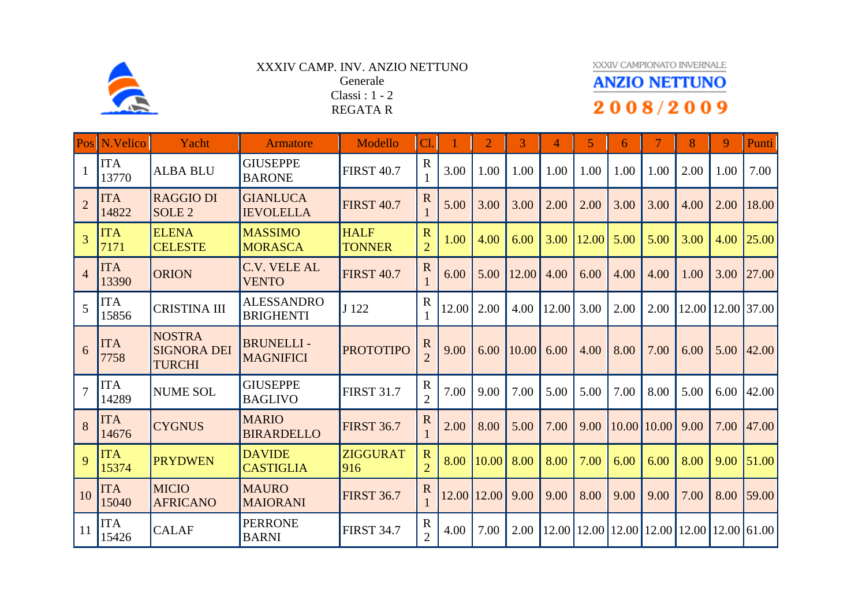

## XXXIV CAMP. INV. ANZIO NETTUNO Generale Classi : 1 - 2 REGATA R

## XXXIV CAMPIONATO INVERNALE

## **ANZIO NETTUNO** 2008/2009

|                | Pos N.Velico        | Yacht                                                | Armatore                              | Modello                      | Cl <sub>1</sub>                           |       | $\overline{2}$ | 3     | 4     | 5               | 6    | 7                 | 8                             | 9    | <b>Punti</b>      |
|----------------|---------------------|------------------------------------------------------|---------------------------------------|------------------------------|-------------------------------------------|-------|----------------|-------|-------|-----------------|------|-------------------|-------------------------------|------|-------------------|
|                | <b>ITA</b><br>13770 | <b>ALBA BLU</b>                                      | <b>GIUSEPPE</b><br><b>BARONE</b>      | <b>FIRST 40.7</b>            | $\mathbf R$                               | 3.00  | 1.00           | 1.00  | 1.00  | 1.00            | 1.00 | 1.00              | 2.00                          | 1.00 | 7.00              |
| $\overline{2}$ | <b>ITA</b><br>14822 | <b>RAGGIO DI</b><br>SOLE <sub>2</sub>                | <b>GIANLUCA</b><br><b>IEVOLELLA</b>   | <b>FIRST 40.7</b>            | $\mathbf R$                               | 5.00  | 3.00           | 3.00  | 2.00  | 2.00            | 3.00 | 3.00              | 4.00                          | 2.00 | 18.00             |
| 3              | <b>ITA</b><br>7171  | <b>ELENA</b><br><b>CELESTE</b>                       | <b>MASSIMO</b><br><b>MORASCA</b>      | <b>HALF</b><br><b>TONNER</b> | $\overline{\mathbf{R}}$<br>$\overline{2}$ | 1.00  | 4.00           | 6.00  | 3.00  | 12.00           | 5.00 | 5.00              | 3.00                          | 4.00 | 25.00             |
| $\overline{4}$ | <b>ITA</b><br>13390 | <b>ORION</b>                                         | <b>C.V. VELE AL</b><br><b>VENTO</b>   | <b>FIRST 40.7</b>            | $\overline{R}$                            | 6.00  | 5.00           | 12.00 | 4.00  | 6.00            | 4.00 | 4.00              | 1.00                          | 3.00 | 27.00             |
| 5              | <b>ITA</b><br>15856 | <b>CRISTINA III</b>                                  | <b>ALESSANDRO</b><br><b>BRIGHENTI</b> | J 122                        | $\mathbf R$                               | 12.00 | 2.00           | 4.00  | 12.00 | 3.00            | 2.00 | 2.00              |                               |      | 12.00 12.00 37.00 |
| 6              | <b>ITA</b><br>7758  | <b>NOSTRA</b><br><b>SIGNORA DEI</b><br><b>TURCHI</b> | <b>BRUNELLI-</b><br><b>MAGNIFICI</b>  | <b>PROTOTIPO</b>             | $\mathbf R$                               | 9.00  | 6.00           | 10.00 | 6.00  | 4.00            | 8.00 | 7.00              | 6.00                          | 5.00 | 42.00             |
| $\overline{7}$ | <b>ITA</b><br>14289 | <b>NUME SOL</b>                                      | <b>GIUSEPPE</b><br><b>BAGLIVO</b>     | <b>FIRST 31.7</b>            | $\mathbf R$<br>$\overline{2}$             | 7.00  | 9.00           | 7.00  | 5.00  | 5.00            | 7.00 | 8.00              | 5.00                          | 6.00 | 42.00             |
| 8              | <b>ITA</b><br>14676 | <b>CYGNUS</b>                                        | <b>MARIO</b><br><b>BIRARDELLO</b>     | <b>FIRST 36.7</b>            | $\mathbf R$                               | 2.00  | 8.00           | 5.00  | 7.00  | 9.00            |      | $10.00$   $10.00$ | 9.00                          | 7.00 | 47.00             |
| 9              | <b>ITA</b><br>15374 | <b>PRYDWEN</b>                                       | <b>DAVIDE</b><br><b>CASTIGLIA</b>     | <b>ZIGGURAT</b><br>916       | $\mathbf R$<br>$\overline{2}$             | 8.00  | 10.00          | 8.00  | 8.00  | 7.00            | 6.00 | 6.00              | 8.00                          | 9.00 | 51.00             |
| 10             | <b>ITA</b><br>15040 | <b>MICIO</b><br><b>AFRICANO</b>                      | <b>MAURO</b><br><b>MAIORANI</b>       | <b>FIRST 36.7</b>            | $\mathbf R$                               | 12.00 | 12.00          | 9.00  | 9.00  | 8.00            | 9.00 | 9.00              | 7.00                          | 8.00 | 59.00             |
| 11             | <b>ITA</b><br>15426 | <b>CALAF</b>                                         | <b>PERRONE</b><br><b>BARNI</b>        | <b>FIRST 34.7</b>            | $\mathbf R$<br>$\overline{2}$             | 4.00  | 7.00           | 2.00  |       | $12.00$   12.00 |      |                   | 12.00 12.00 12.00 12.00 61.00 |      |                   |